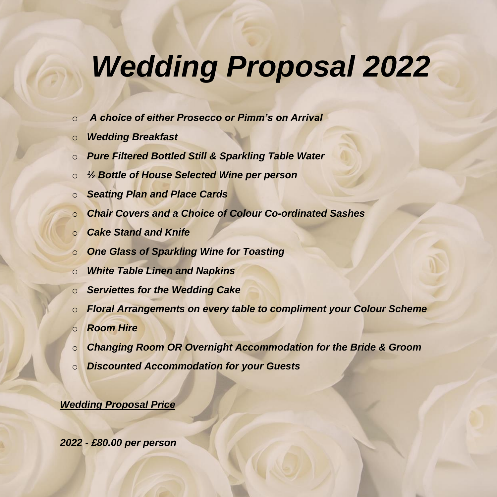# *Wedding Proposal 2022*

- o *A choice of either Prosecco or Pimm's on Arrival*
- o *Wedding Breakfast*
- o *Pure Filtered Bottled Still & Sparkling Table Water*
- o *½ Bottle of House Selected Wine per person*
- o *Seating Plan and Place Cards*
- o *Chair Covers and a Choice of Colour Co-ordinated Sashes*
- o *Cake Stand and Knife*
- o *One Glass of Sparkling Wine for Toasting*
- o *White Table Linen and Napkins*
- o *Serviettes for the Wedding Cake*
- o *Floral Arrangements on every table to compliment your Colour Scheme*
- o *Room Hire*
- o *Changing Room OR Overnight Accommodation for the Bride & Groom*
- o *Discounted Accommodation for your Guests*

#### *Wedding Proposal Price*

*2022 - £80.00 per person*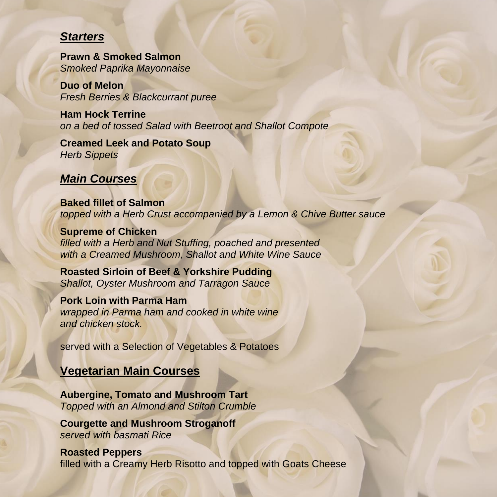#### *Starters*

**Prawn & Smoked Salmon**  *Smoked Paprika Mayonnaise*

**Duo of Melon**  *Fresh Berries & Blackcurrant puree*

**Ham Hock Terrine** *on a bed of tossed Salad with Beetroot and Shallot Compote*

#### **Creamed Leek and Potato Soup** *Herb Sippets*

# *Main Courses*

**Baked fillet of Salmon**  *topped with a Herb Crust accompanied by a Lemon & Chive Butter sauce*

**Supreme of Chicken** *filled with a Herb and Nut Stuffing, poached and presented with a Creamed Mushroom, Shallot and White Wine Sauce*

**Roasted Sirloin of Beef & Yorkshire Pudding** *Shallot, Oyster Mushroom and Tarragon Sauce*

**Pork Loin with Parma Ham** *wrapped in Parma ham and cooked in white wine and chicken stock.*

served with a Selection of Vegetables & Potatoes

# **Vegetarian Main Courses**

**Aubergine, Tomato and Mushroom Tart**  *Topped with an Almond and Stilton Crumble*

**Courgette and Mushroom Stroganoff** *served with basmati Rice*

**Roasted Peppers**  filled with a Creamy Herb Risotto and topped with Goats Cheese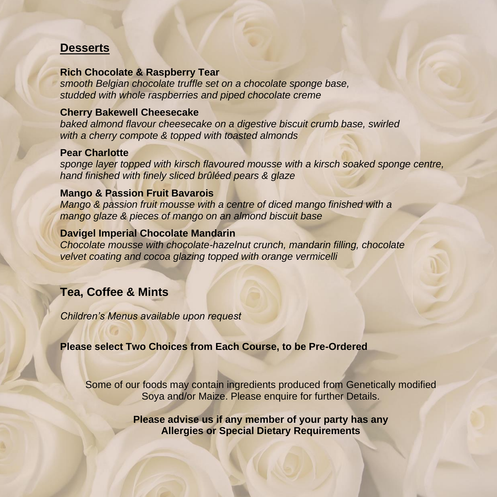## **Desserts**

#### **Rich Chocolate & Raspberry Tear**

*smooth Belgian chocolate truffle set on a chocolate sponge base, studded with whole raspberries and piped chocolate creme*

#### **Cherry Bakewell Cheesecake**

*baked almond flavour cheesecake on a digestive biscuit crumb base, swirled with a cherry compote & topped with toasted almonds*

#### **Pear Charlotte**

*sponge layer topped with kirsch flavoured mousse with a kirsch soaked sponge centre, hand finished with finely sliced brûléed pears & glaze*

#### **Mango & Passion Fruit Bavarois**

*Mango & passion fruit mousse with a centre of diced mango finished with a mango glaze & pieces of mango on an almond biscuit base*

#### **Davigel Imperial Chocolate Mandarin**

*Chocolate mousse with chocolate-hazelnut crunch, mandarin filling, chocolate velvet coating and cocoa glazing topped with orange vermicelli*

# **Tea, Coffee & Mints**

*Children's Menus available upon request*

### **Please select Two Choices from Each Course, to be Pre-Ordered**

Some of our foods may contain ingredients produced from Genetically modified Soya and/or Maize. Please enquire for further Details.

> **Please advise us if any member of your party has any Allergies or Special Dietary Requirements**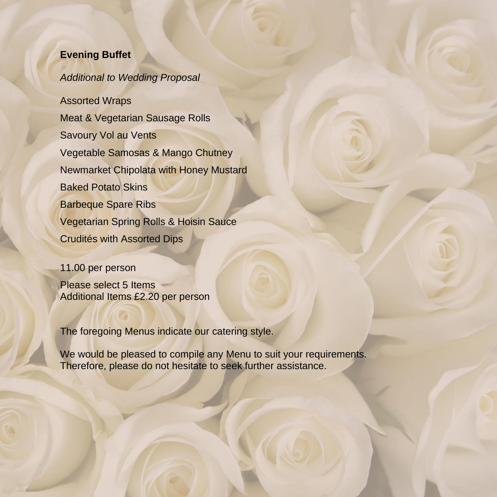#### **Evening Buffet**

#### *Additional to Wedding Proposal*

Assorted Wraps Meat & Vegetarian Sausage Rolls Savoury Vol au Vents Vegetable Samosas & Mango Chutney Newmarket Chipolata with Honey Mustard Baked Potato Skins Barbeque Spare Ribs Vegetarian Spring Rolls & Hoisin Sauce Crudités with Assorted Dips

#### 11.00 per person

Please select 5 Items Additional Items £2.20 per person

The foregoing Menus indicate our catering style.

We would be pleased to compile any Menu to suit your requirements. Therefore, please do not hesitate to seek further assistance.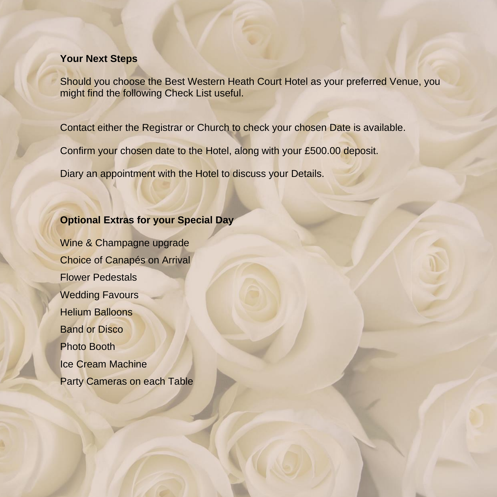#### **Your Next Steps**

Should you choose the Best Western Heath Court Hotel as your preferred Venue, you might find the following Check List useful.

Contact either the Registrar or Church to check your chosen Date is available.

Confirm your chosen date to the Hotel, along with your £500.00 deposit.

Diary an appointment with the Hotel to discuss your Details.

#### **Optional Extras for your Special Day**

Wine & Champagne upgrade Choice of Canapés on Arrival Flower Pedestals Wedding Favours Helium Balloons Band or Disco Photo Booth Ice Cream Machine Party Cameras on each Table